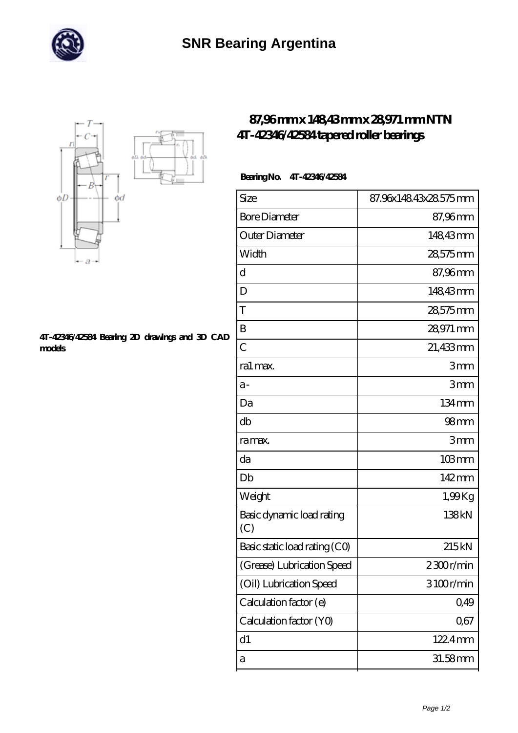



## **[4T-42346/42584 Bearing 2D drawings and 3D CAD](https://m.directorio-rss.com/pic-403766.html) [models](https://m.directorio-rss.com/pic-403766.html)**

## **[87,96 mm x 148,43 mm x 28,971 mm NTN](https://m.directorio-rss.com/bb-403766-ntn-4t-42346-42584-tapered-roller-bearings.html) [4T-42346/42584 tapered roller bearings](https://m.directorio-rss.com/bb-403766-ntn-4t-42346-42584-tapered-roller-bearings.html)**

## **Bearing No. 4T-42346/42584**

| Size                             | 87.96x148.43x28.575mm |
|----------------------------------|-----------------------|
| <b>Bore Diameter</b>             | 87,96mm               |
| Outer Diameter                   | 148,43mm              |
| Width                            | 28,575mm              |
| d                                | 87,96mm               |
| D                                | 148,43mm              |
| T                                | 28,575mm              |
| B                                | 28,971 mm             |
| $\overline{C}$                   | 21,433mm              |
| ra1 max.                         | 3mm                   |
| $a-$                             | 3mm                   |
| Da                               | 134mm                 |
| db                               | 98 <sub>mm</sub>      |
| ra max.                          | 3mm                   |
| da                               | $103$ mm              |
| Db                               | 142mm                 |
| Weight                           | 1,99Kg                |
| Basic dynamic load rating<br>(C) | 138kN                 |
| Basic static load rating (CO)    | 215kN                 |
| (Grease) Lubrication Speed       | 2300r/min             |
| (Oil) Lubrication Speed          | 3100r/min             |
| Calculation factor (e)           | 0,49                  |
| Calculation factor (YO)          | 0,67                  |
| d1                               | 122.4mm               |
| a                                | 31.58mm               |